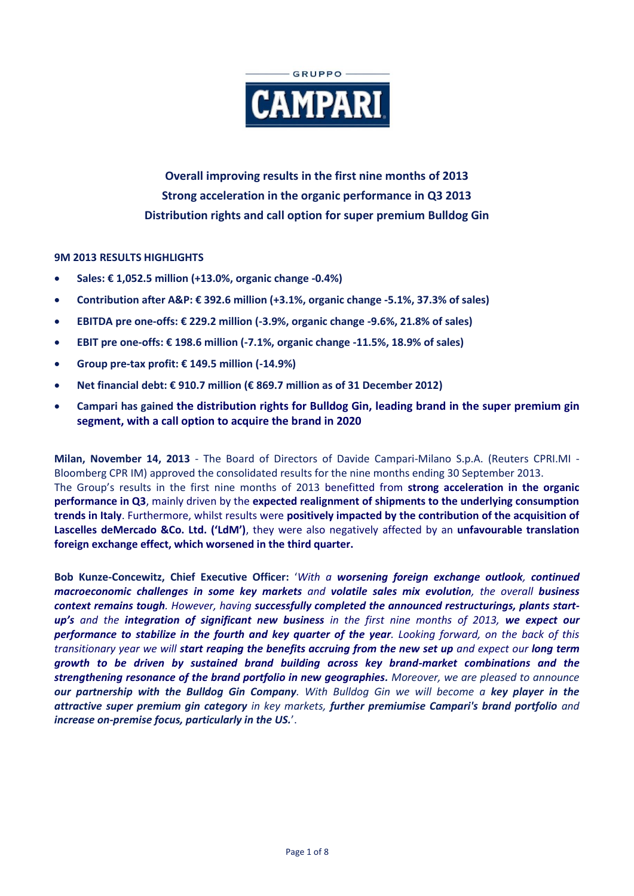

**Overall improving results in the first nine months of 2013 Strong acceleration in the organic performance in Q3 2013 Distribution rights and call option for super premium Bulldog Gin**

# **9M 2013 RESULTS HIGHLIGHTS**

- **Sales: € 1,052.5 million (+13.0%, organic change -0.4%)**
- **Contribution after A&P: € 392.6 million (+3.1%, organic change -5.1%, 37.3% of sales)**
- **EBITDA pre one-offs: € 229.2 million (-3.9%, organic change -9.6%, 21.8% of sales)**
- **EBIT pre one-offs: € 198.6 million (-7.1%, organic change -11.5%, 18.9% of sales)**
- **Group pre-tax profit: € 149.5 million (-14.9%)**
- **Net financial debt: € 910.7 million (€ 869.7 million as of 31 December 2012)**
- **Campari has gained the distribution rights for Bulldog Gin, leading brand in the super premium gin segment, with a call option to acquire the brand in 2020**

**Milan, November 14, 2013** - The Board of Directors of Davide Campari-Milano S.p.A. (Reuters CPRI.MI - Bloomberg CPR IM) approved the consolidated results for the nine months ending 30 September 2013. The Group's results in the first nine months of 2013 benefitted from **strong acceleration in the organic performance in Q3**, mainly driven by the **expected realignment of shipments to the underlying consumption trends in Italy**. Furthermore, whilst results were **positively impacted by the contribution of the acquisition of Lascelles deMercado &Co. Ltd. ('LdM')**, they were also negatively affected by an **unfavourable translation foreign exchange effect, which worsened in the third quarter.**

**Bob Kunze-Concewitz, Chief Executive Officer:** '*With a worsening foreign exchange outlook, continued macroeconomic challenges in some key markets and volatile sales mix evolution, the overall business context remains tough. However, having successfully completed the announced restructurings, plants startup's and the integration of significant new business in the first nine months of 2013, we expect our performance to stabilize in the fourth and key quarter of the year. Looking forward, on the back of this transitionary year we will start reaping the benefits accruing from the new set up and expect our long term growth to be driven by sustained brand building across key brand-market combinations and the strengthening resonance of the brand portfolio in new geographies. Moreover, we are pleased to announce our partnership with the Bulldog Gin Company. With Bulldog Gin we will become a key player in the attractive super premium gin category in key markets, further premiumise Campari's brand portfolio and increase on-premise focus, particularly in the US.*'.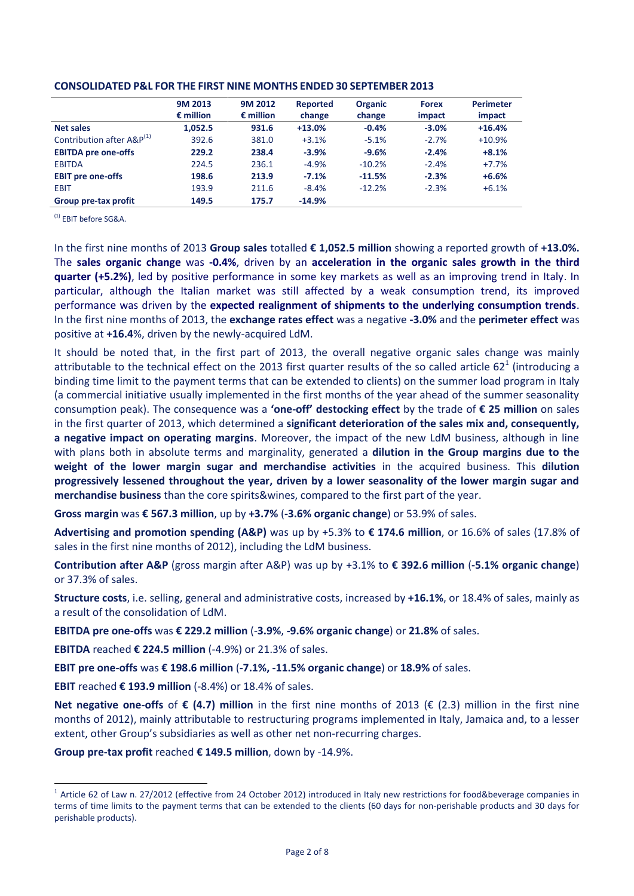|                                       | 9M 2013            | 9M 2012            | Reported | <b>Organic</b> | <b>Forex</b> | <b>Perimeter</b> |
|---------------------------------------|--------------------|--------------------|----------|----------------|--------------|------------------|
|                                       | $\epsilon$ million | $\epsilon$ million | change   | change         | impact       | impact           |
| <b>Net sales</b>                      | 1,052.5            | 931.6              | $+13.0%$ | $-0.4%$        | $-3.0%$      | $+16.4%$         |
| Contribution after A&P <sup>(1)</sup> | 392.6              | 381.0              | $+3.1%$  | $-5.1%$        | $-2.7%$      | $+10.9%$         |
| <b>EBITDA</b> pre one-offs            | 229.2              | 238.4              | $-3.9%$  | $-9.6%$        | $-2.4%$      | $+8.1%$          |
| <b>EBITDA</b>                         | 224.5              | 236.1              | $-4.9%$  | $-10.2%$       | $-2.4%$      | $+7.7%$          |
| <b>EBIT pre one-offs</b>              | 198.6              | 213.9              | $-7.1%$  | $-11.5%$       | $-2.3%$      | $+6.6%$          |
| <b>EBIT</b>                           | 193.9              | 211.6              | $-8.4%$  | $-12.2%$       | $-2.3%$      | $+6.1%$          |
| Group pre-tax profit                  | 149.5              | 175.7              | $-14.9%$ |                |              |                  |

### **CONSOLIDATED P&L FOR THE FIRST NINE MONTHS ENDED 30 SEPTEMBER 2013**

(1) EBIT before SG&A.

In the first nine months of 2013 **Group sales** totalled **€ 1,052.5 million** showing a reported growth of **+13.0%.** The **sales organic change** was **-0.4%**, driven by an **acceleration in the organic sales growth in the third quarter (+5.2%)**, led by positive performance in some key markets as well as an improving trend in Italy. In particular, although the Italian market was still affected by a weak consumption trend, its improved performance was driven by the **expected realignment of shipments to the underlying consumption trends**. In the first nine months of 2013, the **exchange rates effect** was a negative **-3.0%** and the **perimeter effect** was positive at **+16.4**%, driven by the newly-acquired LdM.

It should be noted that, in the first part of 2013, the overall negative organic sales change was mainly attributable to the technical effect on the 2013 first quarter results of the so called article 62<sup>1</sup> (introducing a binding time limit to the payment terms that can be extended to clients) on the summer load program in Italy (a commercial initiative usually implemented in the first months of the year ahead of the summer seasonality consumption peak). The consequence was a **'one-off' destocking effect** by the trade of **€ 25 million** on sales in the first quarter of 2013, which determined a **significant deterioration of the sales mix and, consequently, a negative impact on operating margins**. Moreover, the impact of the new LdM business, although in line with plans both in absolute terms and marginality, generated a **dilution in the Group margins due to the weight of the lower margin sugar and merchandise activities** in the acquired business. This **dilution progressively lessened throughout the year, driven by a lower seasonality of the lower margin sugar and merchandise business** than the core spirits&wines, compared to the first part of the year.

**Gross margin** was **€ 567.3 million**, up by **+3.7%** (**-3.6% organic change**) or 53.9% of sales.

**Advertising and promotion spending (A&P)** was up by +5.3% to **€ 174.6 million**, or 16.6% of sales (17.8% of sales in the first nine months of 2012), including the LdM business.

**Contribution after A&P** (gross margin after A&P) was up by +3.1% to **€ 392.6 million** (**-5.1% organic change**) or 37.3% of sales.

**Structure costs**, i.e. selling, general and administrative costs, increased by **+16.1%**, or 18.4% of sales, mainly as a result of the consolidation of LdM.

**EBITDA pre one-offs** was **€ 229.2 million** (-**3.9%**, **-9.6% organic change**) or **21.8%** of sales.

**EBITDA** reached **€ 224.5 million** (-4.9%) or 21.3% of sales.

**EBIT pre one-offs** was **€ 198.6 million** (**-7.1%, -11.5% organic change**) or **18.9%** of sales.

**EBIT** reached **€ 193.9 million** (-8.4%) or 18.4% of sales.

 $\overline{a}$ 

**Net negative one-offs** of **€ (4.7) million** in the first nine months of 2013 (€ (2.3) million in the first nine months of 2012), mainly attributable to restructuring programs implemented in Italy, Jamaica and, to a lesser extent, other Group's subsidiaries as well as other net non-recurring charges.

**Group pre-tax profit** reached **€ 149.5 million**, down by -14.9%.

 $1$  Article 62 of Law n. 27/2012 (effective from 24 October 2012) introduced in Italy new restrictions for food&beverage companies in terms of time limits to the payment terms that can be extended to the clients (60 days for non-perishable products and 30 days for perishable products).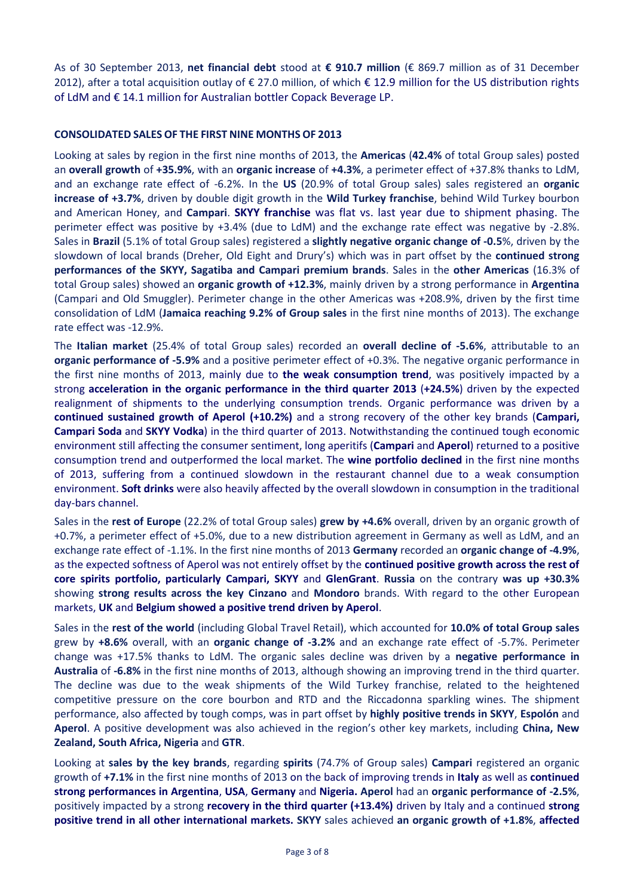As of 30 September 2013, **net financial debt** stood at **€ 910.7 million** (€ 869.7 million as of 31 December 2012), after a total acquisition outlay of € 27.0 million, of which € 12.9 million for the US distribution rights of LdM and € 14.1 million for Australian bottler Copack Beverage LP.

# **CONSOLIDATED SALES OF THE FIRST NINE MONTHS OF 2013**

Looking at sales by region in the first nine months of 2013, the **Americas** (**42.4%** of total Group sales) posted an **overall growth** of **+35.9%**, with an **organic increase** of **+4.3%**, a perimeter effect of +37.8% thanks to LdM, and an exchange rate effect of -6.2%. In the **US** (20.9% of total Group sales) sales registered an **organic increase of +3.7%**, driven by double digit growth in the **Wild Turkey franchise**, behind Wild Turkey bourbon and American Honey, and **Campari**. **SKYY franchise** was flat vs. last year due to shipment phasing. The perimeter effect was positive by +3.4% (due to LdM) and the exchange rate effect was negative by -2.8%. Sales in **Brazil** (5.1% of total Group sales) registered a **slightly negative organic change of -0.5**%, driven by the slowdown of local brands (Dreher, Old Eight and Drury's) which was in part offset by the **continued strong performances of the SKYY, Sagatiba and Campari premium brands**. Sales in the **other Americas** (16.3% of total Group sales) showed an **organic growth of +12.3%**, mainly driven by a strong performance in **Argentina** (Campari and Old Smuggler). Perimeter change in the other Americas was +208.9%, driven by the first time consolidation of LdM (**Jamaica reaching 9.2% of Group sales** in the first nine months of 2013). The exchange rate effect was -12.9%.

The **Italian market** (25.4% of total Group sales) recorded an **overall decline of -5.6%**, attributable to an **organic performance of -5.9%** and a positive perimeter effect of +0.3%. The negative organic performance in the first nine months of 2013, mainly due to **the weak consumption trend**, was positively impacted by a strong **acceleration in the organic performance in the third quarter 2013** (**+24.5%**) driven by the expected realignment of shipments to the underlying consumption trends. Organic performance was driven by a **continued sustained growth of Aperol (+10.2%)** and a strong recovery of the other key brands (**Campari, Campari Soda** and **SKYY Vodka**) in the third quarter of 2013. Notwithstanding the continued tough economic environment still affecting the consumer sentiment, long aperitifs (**Campari** and **Aperol**) returned to a positive consumption trend and outperformed the local market. The **wine portfolio declined** in the first nine months of 2013, suffering from a continued slowdown in the restaurant channel due to a weak consumption environment. **Soft drinks** were also heavily affected by the overall slowdown in consumption in the traditional day-bars channel.

Sales in the **rest of Europe** (22.2% of total Group sales) **grew by +4.6%** overall, driven by an organic growth of +0.7%, a perimeter effect of +5.0%, due to a new distribution agreement in Germany as well as LdM, and an exchange rate effect of -1.1%. In the first nine months of 2013 **Germany** recorded an **organic change of -4.9%**, as the expected softness of Aperol was not entirely offset by the **continued positive growth across the rest of core spirits portfolio, particularly Campari, SKYY** and **GlenGrant**. **Russia** on the contrary **was up +30.3%** showing **strong results across the key Cinzano** and **Mondoro** brands. With regard to the other European markets, **UK** and **Belgium showed a positive trend driven by Aperol**.

Sales in the **rest of the world** (including Global Travel Retail), which accounted for **10.0% of total Group sales** grew by **+8.6%** overall, with an **organic change of -3.2%** and an exchange rate effect of -5.7%. Perimeter change was +17.5% thanks to LdM. The organic sales decline was driven by a **negative performance in Australia** of **-6.8%** in the first nine months of 2013, although showing an improving trend in the third quarter. The decline was due to the weak shipments of the Wild Turkey franchise, related to the heightened competitive pressure on the core bourbon and RTD and the Riccadonna sparkling wines. The shipment performance, also affected by tough comps, was in part offset by **highly positive trends in SKYY**, **Espolón** and **Aperol**. A positive development was also achieved in the region's other key markets, including **China, New Zealand, South Africa, Nigeria** and **GTR**.

Looking at **sales by the key brands**, regarding **spirits** (74.7% of Group sales) **Campari** registered an organic growth of **+7.1%** in the first nine months of 2013 on the back of improving trends in **Italy** as well as **continued strong performances in Argentina**, **USA**, **Germany** and **Nigeria. Aperol** had an **organic performance of -2.5%**, positively impacted by a strong **recovery in the third quarter (+13.4%)** driven by Italy and a continued **strong positive trend in all other international markets. SKYY** sales achieved **an organic growth of +1.8%**, **affected**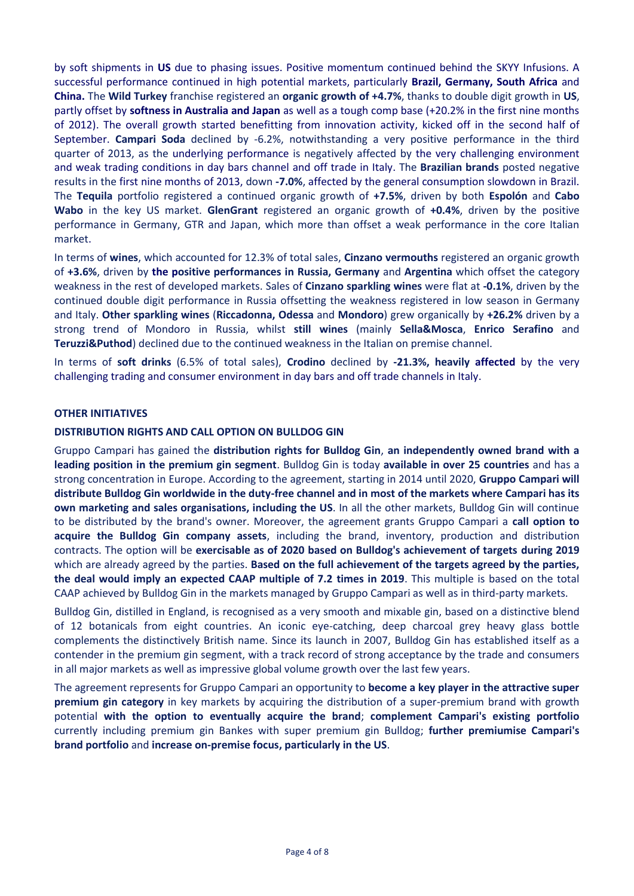by soft shipments in **US** due to phasing issues. Positive momentum continued behind the SKYY Infusions. A successful performance continued in high potential markets, particularly **Brazil, Germany, South Africa** and **China.** The **Wild Turkey** franchise registered an **organic growth of +4.7%**, thanks to double digit growth in **US**, partly offset by **softness in Australia and Japan** as well as a tough comp base (+20.2% in the first nine months of 2012). The overall growth started benefitting from innovation activity, kicked off in the second half of September. **Campari Soda** declined by -6.2%, notwithstanding a very positive performance in the third quarter of 2013, as the underlying performance is negatively affected by the very challenging environment and weak trading conditions in day bars channel and off trade in Italy. The **Brazilian brands** posted negative results in the first nine months of 2013, down **-7.0%**, affected by the general consumption slowdown in Brazil. The **Tequila** portfolio registered a continued organic growth of **+7.5%**, driven by both **Espolón** and **Cabo Wabo** in the key US market. **GlenGrant** registered an organic growth of **+0.4%**, driven by the positive performance in Germany, GTR and Japan, which more than offset a weak performance in the core Italian market.

In terms of **wines**, which accounted for 12.3% of total sales, **Cinzano vermouths** registered an organic growth of **+3.6%**, driven by **the positive performances in Russia, Germany** and **Argentina** which offset the category weakness in the rest of developed markets. Sales of **Cinzano sparkling wines** were flat at **-0.1%**, driven by the continued double digit performance in Russia offsetting the weakness registered in low season in Germany and Italy. **Other sparkling wines** (**Riccadonna, Odessa** and **Mondoro**) grew organically by **+26.2%** driven by a strong trend of Mondoro in Russia, whilst **still wines** (mainly **Sella&Mosca**, **Enrico Serafino** and **Teruzzi&Puthod**) declined due to the continued weakness in the Italian on premise channel.

In terms of **soft drinks** (6.5% of total sales), **Crodino** declined by **-21.3%, heavily affected** by the very challenging trading and consumer environment in day bars and off trade channels in Italy.

# **OTHER INITIATIVES**

## **DISTRIBUTION RIGHTS AND CALL OPTION ON BULLDOG GIN**

Gruppo Campari has gained the **distribution rights for Bulldog Gin**, **an independently owned brand with a leading position in the premium gin segment**. Bulldog Gin is today **available in over 25 countries** and has a strong concentration in Europe. According to the agreement, starting in 2014 until 2020, **Gruppo Campari will distribute Bulldog Gin worldwide in the duty-free channel and in most of the markets where Campari has its own marketing and sales organisations, including the US**. In all the other markets, Bulldog Gin will continue to be distributed by the brand's owner. Moreover, the agreement grants Gruppo Campari a **call option to acquire the Bulldog Gin company assets**, including the brand, inventory, production and distribution contracts. The option will be **exercisable as of 2020 based on Bulldog's achievement of targets during 2019**  which are already agreed by the parties. **Based on the full achievement of the targets agreed by the parties, the deal would imply an expected CAAP multiple of 7.2 times in 2019**. This multiple is based on the total CAAP achieved by Bulldog Gin in the markets managed by Gruppo Campari as well as in third-party markets.

Bulldog Gin, distilled in England, is recognised as a very smooth and mixable gin, based on a distinctive blend of 12 botanicals from eight countries. An iconic eye-catching, deep charcoal grey heavy glass bottle complements the distinctively British name. Since its launch in 2007, Bulldog Gin has established itself as a contender in the premium gin segment, with a track record of strong acceptance by the trade and consumers in all major markets as well as impressive global volume growth over the last few years.

The agreement represents for Gruppo Campari an opportunity to **become a key player in the attractive super premium gin category** in key markets by acquiring the distribution of a super-premium brand with growth potential **with the option to eventually acquire the brand**; **complement Campari's existing portfolio** currently including premium gin Bankes with super premium gin Bulldog; **further premiumise Campari's brand portfolio** and **increase on-premise focus, particularly in the US**.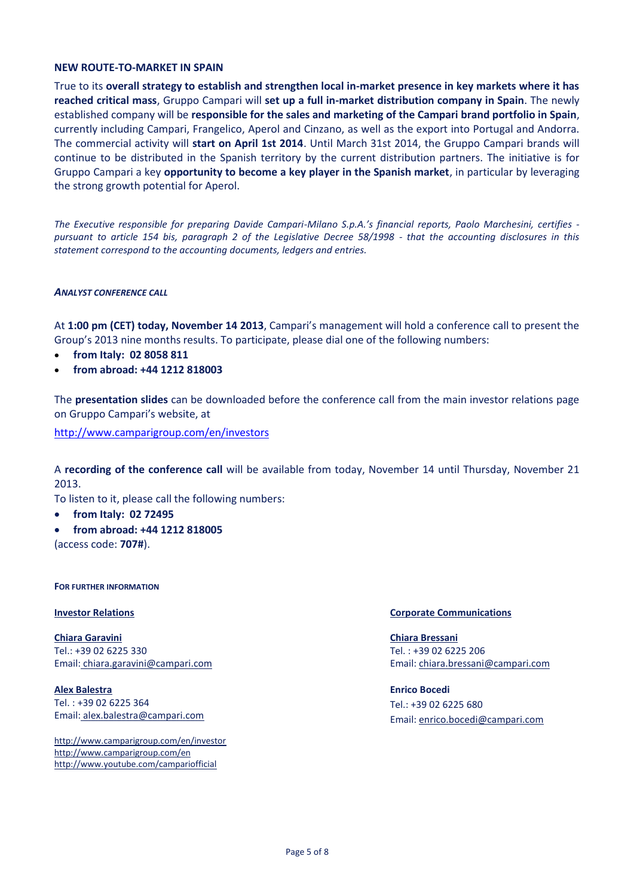### **NEW ROUTE-TO-MARKET IN SPAIN**

True to its **overall strategy to establish and strengthen local in-market presence in key markets where it has reached critical mass**, Gruppo Campari will **set up a full in-market distribution company in Spain**. The newly established company will be **responsible for the sales and marketing of the Campari brand portfolio in Spain**, currently including Campari, Frangelico, Aperol and Cinzano, as well as the export into Portugal and Andorra. The commercial activity will **start on April 1st 2014**. Until March 31st 2014, the Gruppo Campari brands will continue to be distributed in the Spanish territory by the current distribution partners. The initiative is for Gruppo Campari a key **opportunity to become a key player in the Spanish market**, in particular by leveraging the strong growth potential for Aperol.

*The Executive responsible for preparing Davide Campari-Milano S.p.A.'s financial reports, Paolo Marchesini, certifies pursuant to article 154 bis, paragraph 2 of the Legislative Decree 58/1998 - that the accounting disclosures in this statement correspond to the accounting documents, ledgers and entries.* 

## *ANALYST CONFERENCE CALL*

At **1:00 pm (CET) today, November 14 2013**, Campari's management will hold a conference call to present the Group's 2013 nine months results. To participate, please dial one of the following numbers:

- **from Italy: 02 8058 811**
- **from abroad: +44 1212 818003**

The **presentation slides** can be downloaded before the conference call from the main investor relations page on Gruppo Campari's website, at

<http://www.camparigroup.com/en/investors>

A **recording of the conference call** will be available from today, November 14 until Thursday, November 21 2013.

To listen to it, please call the following numbers:

- **from Italy: 02 72495**
- **from abroad: +44 1212 818005** (access code: **707#**).

#### **FOR FURTHER INFORMATION**

**Chiara Garavini** Tel.: +39 02 6225 330 Email: [chiara.garavini@campari.com](mailto:chiara.garavini@campari.com)

**Alex Balestra** Tel. : +39 02 6225 364 Email: alex.balestra@campari.com

http://www.camparigroup.com/en/investor http://www.camparigroup.com/en http://www.youtube.com/campariofficial

### **Investor Relations Corporate Communications**

**Chiara Bressani** Tel. : +39 02 6225 206 Email[: chiara.bressani@campari.com](mailto:chiara.bressani@campari.com)

**Enrico Bocedi** Tel.: +39 02 6225 680 Email: enrico.bocedi@campari.com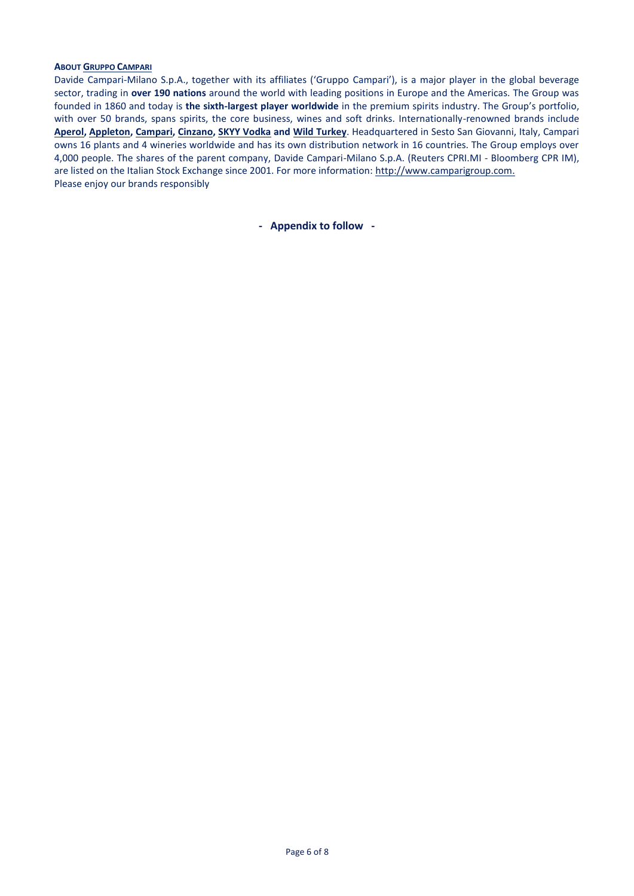### **ABOUT GRUPPO C[AMPARI](http://www.camparigroup.com/en/index.shtml)**

Davide Campari-Milano S.p.A., together with its affiliates ('Gruppo Campari'), is a major player in the global beverage sector, trading in **over 190 nations** around the world with leading positions in Europe and the Americas. The Group was founded in 1860 and today is **the sixth-largest player worldwide** in the premium spirits industry. The Group's portfolio, with over 50 brands, spans spirits, the core business, wines and soft drinks. Internationally-renowned brands include **[Aperol,](http://www.aperol.com/?http%3A//www.aperol.com/) [Appleton,](http://www.appletonestate.com/) [Campari,](http://www.campari.com/) [Cinzano,](http://www.cinzano.com/) [SKYY Vodka](http://www.skyy.com/) and [Wild Turkey](http://www.wildturkeybourbon.com.au/)**. Headquartered in Sesto San Giovanni, Italy, Campari owns 16 plants and 4 wineries worldwide and has its own distribution network in 16 countries. The Group employs over 4,000 people. The shares of the parent company, Davide Campari-Milano S.p.A. (Reuters CPRI.MI - Bloomberg CPR IM), are listed on the Italian Stock Exchange since 2001. For more information: [http://www.camparigroup.com.](http://www.camparigroup.com/) Please enjoy our brands responsibly

**- Appendix to follow -**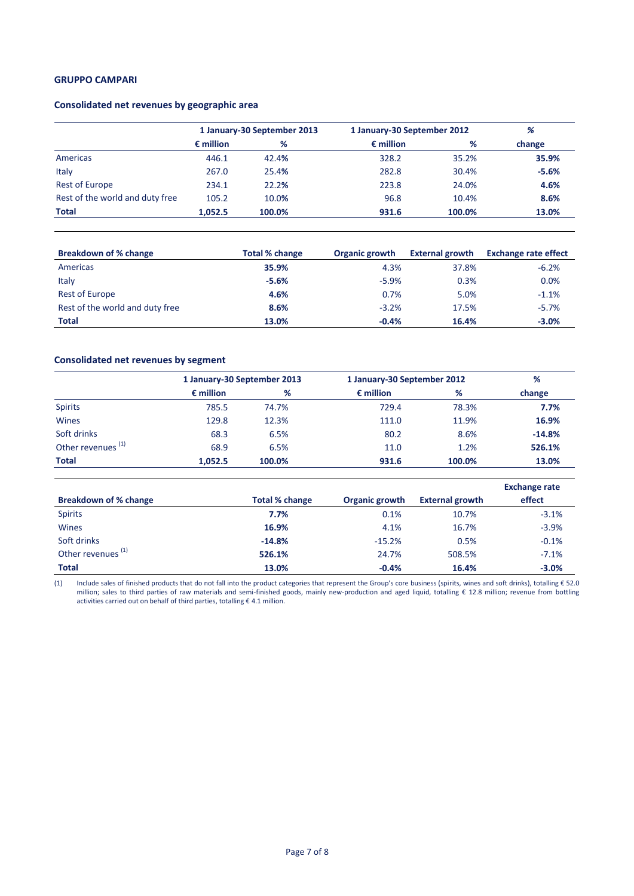#### **GRUPPO CAMPARI**

## **Consolidated net revenues by geographic area**

|                                 | 1 January-30 September 2013 |        | 1 January-30 September 2012 | %      |         |
|---------------------------------|-----------------------------|--------|-----------------------------|--------|---------|
|                                 | $\epsilon$ million          | %      | $\epsilon$ million          | %      | change  |
| Americas                        | 446.1                       | 42.4%  | 328.2                       | 35.2%  | 35.9%   |
| Italy                           | 267.0                       | 25.4%  | 282.8                       | 30.4%  | $-5.6%$ |
| <b>Rest of Europe</b>           | 234.1                       | 22.2%  | 223.8                       | 24.0%  | 4.6%    |
| Rest of the world and duty free | 105.2                       | 10.0%  | 96.8                        | 10.4%  | 8.6%    |
| <b>Total</b>                    | 1,052.5                     | 100.0% | 931.6                       | 100.0% | 13.0%   |

| <b>Breakdown of % change</b>    | Total % change | Organic growth | <b>External growth</b> | <b>Exchange rate effect</b> |
|---------------------------------|----------------|----------------|------------------------|-----------------------------|
| Americas                        | 35.9%          | 4.3%           | 37.8%                  | $-6.2%$                     |
| Italy                           | $-5.6%$        | $-5.9%$        | 0.3%                   | 0.0%                        |
| <b>Rest of Europe</b>           | 4.6%           | 0.7%           | 5.0%                   | $-1.1%$                     |
| Rest of the world and duty free | 8.6%           | $-3.2%$        | 17.5%                  | $-5.7%$                     |
| <b>Total</b>                    | 13.0%          | $-0.4%$        | 16.4%                  | $-3.0%$                     |

# **Consolidated net revenues by segment**

|                               |                    | 1 January-30 September 2013 |                    | 1 January-30 September 2012 |          |  |
|-------------------------------|--------------------|-----------------------------|--------------------|-----------------------------|----------|--|
|                               | $\epsilon$ million | %                           | $\epsilon$ million | %                           | change   |  |
| <b>Spirits</b>                | 785.5              | 74.7%                       | 729.4              | 78.3%                       | 7.7%     |  |
| Wines                         | 129.8              | 12.3%                       | 111.0              | 11.9%                       | 16.9%    |  |
| Soft drinks                   | 68.3               | 6.5%                        | 80.2               | 8.6%                        | $-14.8%$ |  |
| Other revenues <sup>(1)</sup> | 68.9               | 6.5%                        | 11.0               | 1.2%                        | 526.1%   |  |
| <b>Total</b>                  | 1.052.5            | 100.0%                      | 931.6              | 100.0%                      | 13.0%    |  |

|                               |                |                |                        | <b>Exchange rate</b> |
|-------------------------------|----------------|----------------|------------------------|----------------------|
| <b>Breakdown of % change</b>  | Total % change | Organic growth | <b>External growth</b> | effect               |
| <b>Spirits</b>                | 7.7%           | 0.1%           | 10.7%                  | $-3.1%$              |
| <b>Wines</b>                  | 16.9%          | 4.1%           | 16.7%                  | $-3.9%$              |
| Soft drinks                   | $-14.8%$       | $-15.2%$       | 0.5%                   | $-0.1%$              |
| Other revenues <sup>(1)</sup> | 526.1%         | 24.7%          | 508.5%                 | $-7.1%$              |
| <b>Total</b>                  | 13.0%          | $-0.4%$        | 16.4%                  | $-3.0%$              |

(1) Include sales of finished products that do not fall into the product categories that represent the Group's core business (spirits, wines and soft drinks), totalling € 52.0 million; sales to third parties of raw materials and semi-finished goods, mainly new-production and aged liquid, totalling € 12.8 million; revenue from bottling activities carried out on behalf of third parties, totalling € 4.1 million.